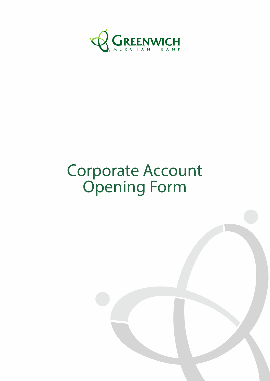

# Corporate Account Opening Form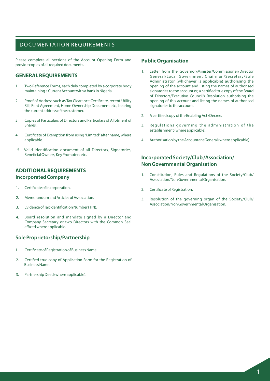### DOCUMENTATION REQUIREMENTS

Please complete all sections of the Account Opening Form and provide copies of all required documents.

#### **GENERAL REQUIREMENTS**

- 1 Two Reference Forms, each duly completed by a corporate body maintaining a Current Account with a bank in Nigeria.
- 2. Proof of Address such as Tax Clearance Certificate, recent Utility Bill, Rent Agreement, Home Ownership Document etc., bearing the current address of the customer.
- 3. Copies of Particulars of Directors and Particulars of Allotment of Shares.
- 4. Certificate of Exemption from using "Limited" after name, where applicable.
- 5. Valid identification document of all Directors, Signatories, Beneficial Owners, Key Promoters etc.

#### **ADDITIONAL REQUIREMENTS Incorporated Company**

- 1. Certificate of Incorporation.
- 2. Memorandum and Articles of Association.
- 3. Evidence of Tax Identification Number (TIN).
- 4. Board resolution and mandate signed by a Director and Company Secretary or two Directors with the Common Seal affixed where applicable.

#### **Sole Proprietorship/Partnership**

- 1. Certificate of Registration of Business Name.
- 2. Certified true copy of Application Form for the Registration of Business Name.
- 3. Partnership Deed (where applicable).

#### **Public Organisation**

- 1. Letter from the Governor/Minister/Commissioner/Director General/Local Government Chairman/Secretary/Sole Administrator (whichever is applicable) authorising the opening of the account and listing the names of authorised signatories to the account or, a certified true copy of the Board of Directors/Executive Council's Resolution authorising the opening of this account and listing the names of authorised signatories to the account.
- 2. A certified copy of the Enabling Act/Decree.
- 3. Regulations governing the administration of the establishment (where applicable).
- 4. Authorisation by the Accountant General (where applicable).

#### **Incorporated Society/Club /Association/ Non Governmental Organisation**

- 1. Constitution, Rules and Regulations of the Society/Club/ Association/Non Governmental Organisation.
- 2. Certificate of Registration.
- 3. Resolution of the governing organ of the Society/Club/ Association/Non Governmental Organisation.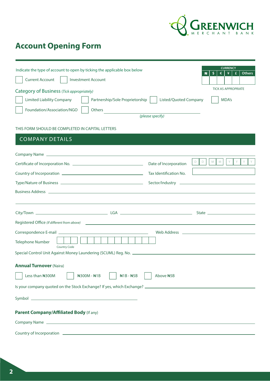

## **Account Opening Form**

| Indicate the type of account to open by ticking the applicable box below<br><b>Current Account</b><br><b>Investment Account</b>                                                                                                                       |                        | <b>CURRENCY</b><br>\$<br>¥<br><b>Others</b><br>₩<br>€<br>£ |  |
|-------------------------------------------------------------------------------------------------------------------------------------------------------------------------------------------------------------------------------------------------------|------------------------|------------------------------------------------------------|--|
| Category of Business (Tick appropriately)                                                                                                                                                                                                             |                        | <b>TICK AS APPROPRIATE</b>                                 |  |
| <b>Limited Liability Company</b><br>Partnership/Sole Proprietorship                                                                                                                                                                                   | Listed/Quoted Company  | MDA's                                                      |  |
| Foundation/Association/NGO                                                                                                                                                                                                                            |                        |                                                            |  |
| Others                                                                                                                                                                                                                                                | (please specify)       |                                                            |  |
|                                                                                                                                                                                                                                                       |                        |                                                            |  |
| THIS FORM SHOULD BE COMPLETED IN CAPITAL LETTERS                                                                                                                                                                                                      |                        |                                                            |  |
| <b>COMPANY DETAILS</b>                                                                                                                                                                                                                                |                        |                                                            |  |
|                                                                                                                                                                                                                                                       |                        |                                                            |  |
|                                                                                                                                                                                                                                                       | Date of Incorporation  | $D \parallel D$<br>Y<br>Y<br>M   M                         |  |
|                                                                                                                                                                                                                                                       | Tax Identification No. |                                                            |  |
|                                                                                                                                                                                                                                                       |                        |                                                            |  |
|                                                                                                                                                                                                                                                       |                        |                                                            |  |
|                                                                                                                                                                                                                                                       |                        |                                                            |  |
|                                                                                                                                                                                                                                                       |                        |                                                            |  |
|                                                                                                                                                                                                                                                       |                        |                                                            |  |
|                                                                                                                                                                                                                                                       |                        |                                                            |  |
|                                                                                                                                                                                                                                                       |                        |                                                            |  |
| <b>Telephone Number</b>                                                                                                                                                                                                                               |                        |                                                            |  |
| <b>Country Code</b><br>Special Control Unit Against Money Laundering (SCUML) Reg. No. 2008. [19] Special Control Unit Against Money Laundering (SCUML) Reg. No. 2008. [20] Against Money Laundering (SCUML) Reg. No. 2008. [20] Against Money Launder |                        |                                                            |  |
|                                                                                                                                                                                                                                                       |                        |                                                            |  |
| <b>Annual Turnover (Naira)</b>                                                                                                                                                                                                                        |                        |                                                            |  |
| Less than N300M<br>N300M - N1B<br>$N1B - N5B$                                                                                                                                                                                                         | Above #5B              |                                                            |  |
|                                                                                                                                                                                                                                                       |                        |                                                            |  |
|                                                                                                                                                                                                                                                       |                        |                                                            |  |
|                                                                                                                                                                                                                                                       |                        |                                                            |  |
| Parent Company/Affiliated Body (If any)                                                                                                                                                                                                               |                        |                                                            |  |
|                                                                                                                                                                                                                                                       |                        |                                                            |  |
|                                                                                                                                                                                                                                                       |                        |                                                            |  |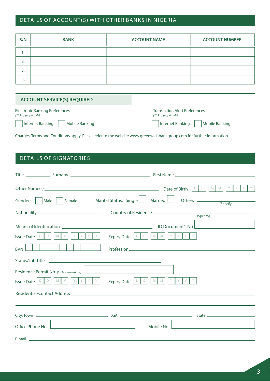## DETAILS OF ACCOUNT(S) WITH OTHER BANKS IN NIGERIA

| S/N | <b>BANK</b> | <b>ACCOUNT NAME</b> | <b>ACCOUNT NUMBER</b> |
|-----|-------------|---------------------|-----------------------|
| . . |             |                     |                       |
| 2.  |             |                     |                       |
| 3.  |             |                     |                       |
| -4. |             |                     |                       |

| <b>Electronic Banking Preferences</b> | <b>Transaction Alert Preferences</b> |  |  |
|---------------------------------------|--------------------------------------|--|--|
| (Tick appropriately)                  | (Tick appropriately)                 |  |  |
| Internet Banking     Mobile Banking   | Internet Banking     Mobile Banking  |  |  |

Charges: Terms and Conditions apply. Please refer to the website www.greenwichbankgroup.com for further information.

## DETAILS OF SIGNATORIES

| Gender:     Male     Female                                                                                                                                                                                                                                                                                                                                                                                                  | Y<br>Y<br>$M$ $M$<br>$D$ $D$<br>Marital Status: Single $\Box$ Married $\Box$<br>(Specify)                                                                                                                                                                                                                                                                                                                         |
|------------------------------------------------------------------------------------------------------------------------------------------------------------------------------------------------------------------------------------------------------------------------------------------------------------------------------------------------------------------------------------------------------------------------------|-------------------------------------------------------------------------------------------------------------------------------------------------------------------------------------------------------------------------------------------------------------------------------------------------------------------------------------------------------------------------------------------------------------------|
|                                                                                                                                                                                                                                                                                                                                                                                                                              |                                                                                                                                                                                                                                                                                                                                                                                                                   |
| YY<br>$\mathsf{Y}$<br>Issue Date $\left[\begin{array}{cc} \mathbb{D} & \mathbb{D} \end{array}\right] \left[\begin{array}{c} \mathbb{M} & \mathbb{M} \end{array}\right]$<br>Y<br><b>BVN</b><br>Residence Permit No. (for Non-Nigerians)<br><b>Issue Date</b> $\boxed{\circ \quad}$ $\boxed{\circ \quad}$ $\boxed{\quad}$ $\land$ $\boxed{\quad}$ $\land$ $\boxed{\quad}$ $\lor$ $\boxed{\quad}$ $\lor$ $\boxed{\quad}$ $\lor$ | Expiry Date $\boxed{\circ}$ $\boxed{\circ}$ $\boxed{\wedge}$ $\boxed{\wedge}$ $\boxed{\vee}$ $\boxed{\vee}$ $\boxed{\vee}$ $\boxed{\vee}$<br><u> 1989 - Jan Sterling, statistik fotograf eta inglesia (</u><br>Y<br>Y<br>Expiry Date $\begin{bmatrix} \Box \ \Box \ \end{bmatrix}$ $\begin{bmatrix} \Box \ \end{bmatrix}$ $\begin{bmatrix} \Box \ \end{bmatrix}$ $\begin{bmatrix} \Box \ \end{bmatrix}$<br>Y<br>Y |
| Office Phone No.<br><u> 1989 - Johann Barbara, martxa alemaniar arg</u>                                                                                                                                                                                                                                                                                                                                                      | Mobile No.<br><u> 1980 - Andrea Station Barbara, amerikan personal (h. 1980).</u>                                                                                                                                                                                                                                                                                                                                 |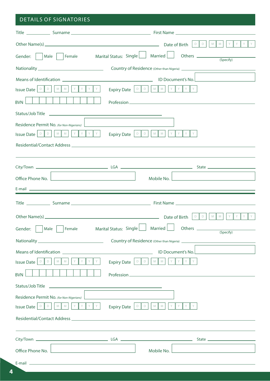## DETAILS OF SIGNATORIES

|                                                                                                                                                                                               | $Y$ $Y$                                                                                                                                  |
|-----------------------------------------------------------------------------------------------------------------------------------------------------------------------------------------------|------------------------------------------------------------------------------------------------------------------------------------------|
|                                                                                                                                                                                               | Gender: $\Box$ Male $\Box$ Female Marital Status: Single $\Box$ Married $\Box$ Others $\Box$ (Specify)                                   |
|                                                                                                                                                                                               |                                                                                                                                          |
|                                                                                                                                                                                               |                                                                                                                                          |
| YY<br>Y Y<br>Issue Date $ 0 \parallel 0$<br>$M$ $M$                                                                                                                                           | Expiry Date $\boxed{\circ}$ $\boxed{\circ}$ $\boxed{\circ}$ $\boxed{\circ}$ $\boxed{\circ}$ $\boxed{\circ}$<br>$Y$ $Y$ $Y$               |
| <b>BVN</b>                                                                                                                                                                                    |                                                                                                                                          |
|                                                                                                                                                                                               |                                                                                                                                          |
| Residence Permit No. (for Non-Nigerians)                                                                                                                                                      |                                                                                                                                          |
| <b>Issue Date</b> $\begin{bmatrix} \nD & D & D \n\end{bmatrix}$ $\begin{bmatrix} M & M & N \end{bmatrix}$ $\begin{bmatrix} Y & Y & Y \end{bmatrix}$ $\begin{bmatrix} Y & Y & Y \end{bmatrix}$ | DDD<br>$M$ $M$<br>$Y$ $Y$<br>Y<br><b>Expiry Date</b>                                                                                     |
|                                                                                                                                                                                               |                                                                                                                                          |
|                                                                                                                                                                                               |                                                                                                                                          |
|                                                                                                                                                                                               |                                                                                                                                          |
| Office Phone No.                                                                                                                                                                              | Mobile No.                                                                                                                               |
|                                                                                                                                                                                               |                                                                                                                                          |
|                                                                                                                                                                                               |                                                                                                                                          |
|                                                                                                                                                                                               | $Y$ $Y$<br>$Y -$<br>Y<br>$M$ $M$<br>$D$ $D$                                                                                              |
|                                                                                                                                                                                               | Gender: Male Female Marital Status: Single Married Others<br>(Specify)                                                                   |
|                                                                                                                                                                                               |                                                                                                                                          |
|                                                                                                                                                                                               | ID Document's No.<br><u> 1989 - Jan James Barnett, politik eta politik eta politik eta politik eta politik eta politik eta politik e</u> |
| Y<br>Y<br>${\mathbb M}$<br>Issue Date   D<br>D<br>M                                                                                                                                           | Y<br>Y Y Y Y<br>Expiry Date $\Box$<br>$M$ $M$                                                                                            |
| <b>BVN</b>                                                                                                                                                                                    |                                                                                                                                          |
| Status/Job Title                                                                                                                                                                              | <u>a sa barang sa mga barang sa mga barang sa mga barang sa mga barang sa mga barang sa mga barang sa mga barang sa </u>                 |
| Residence Permit No. (for Non-Nigerians)                                                                                                                                                      |                                                                                                                                          |
| $Y$ $Y$ $Y$<br>$M$ $M$<br>Issue Date $ 0 \parallel 0$                                                                                                                                         | $Y \parallel$<br>$M$ $M$<br>Expiry Date $ 0 \rangle$                                                                                     |
|                                                                                                                                                                                               |                                                                                                                                          |
|                                                                                                                                                                                               |                                                                                                                                          |
|                                                                                                                                                                                               |                                                                                                                                          |
| <u> 1980 - Johann Barbara, martxa alemaniar a</u><br>Office Phone No.                                                                                                                         | Mobile No.                                                                                                                               |
|                                                                                                                                                                                               |                                                                                                                                          |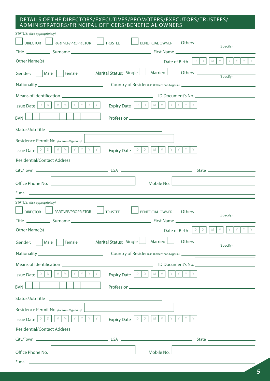#### DETAILS OF THE DIRECTORS/EXECUTIVES/PROMOTERS/EXECUTORS/TRUSTEES/ ADMINISTRATORS/PRINCIPAL OFFICERS/BENEFICIAL OWNERS

| STATUS: (tick appropriately)                                                                                                                                                                                                   |                                                                                                                         |                                   |                                                               |
|--------------------------------------------------------------------------------------------------------------------------------------------------------------------------------------------------------------------------------|-------------------------------------------------------------------------------------------------------------------------|-----------------------------------|---------------------------------------------------------------|
| <b>DIRECTOR</b><br>PARTNER/PROPRIETOR                                                                                                                                                                                          | <b>TRUSTEE</b>                                                                                                          |                                   | BENEFICIAL OWNER Others (Specify)                             |
|                                                                                                                                                                                                                                |                                                                                                                         |                                   |                                                               |
|                                                                                                                                                                                                                                |                                                                                                                         |                                   | $Y$ $Y$<br>$\mid$ Y $\mid$                                    |
|                                                                                                                                                                                                                                |                                                                                                                         |                                   | (Specify)                                                     |
|                                                                                                                                                                                                                                |                                                                                                                         |                                   |                                                               |
|                                                                                                                                                                                                                                |                                                                                                                         |                                   | ID Document's No.                                             |
| <b>Issue Date</b> $\begin{bmatrix} D & D \\ D & D \end{bmatrix}$ $\begin{bmatrix} M & M \\ M & M \end{bmatrix}$ $\begin{bmatrix} Y & Y & Y \\ Y & M & Y \end{bmatrix}$                                                         |                                                                                                                         |                                   |                                                               |
| <b>BVN</b>                                                                                                                                                                                                                     |                                                                                                                         |                                   |                                                               |
| Status/Job Title<br><u> 1989 - Johann Stoff, deutscher Stoffen und der Stoffen und der Stoffen und der Stoffen und der Stoffen und der</u>                                                                                     |                                                                                                                         |                                   |                                                               |
| Residence Permit No. (for Non-Nigerians)                                                                                                                                                                                       |                                                                                                                         |                                   |                                                               |
| <b>Issue Date</b> $\begin{bmatrix} D & D \\ D & D \end{bmatrix}$ $\begin{bmatrix} M & M \\ M & M \end{bmatrix}$ $\begin{bmatrix} Y & Y & Y \\ Y & M & Y \end{bmatrix}$                                                         | Expiry Date $\begin{bmatrix} D & D & D & M & M & N & N & N \end{bmatrix}$ $\begin{bmatrix} Y & Y & Y & N \end{bmatrix}$ |                                   |                                                               |
| Residential/Contact Address entrance and a series of the series of the series of the series of the series of the series of the series of the series of the series of the series of the series of the series of the series of t |                                                                                                                         |                                   |                                                               |
| the control of the control of the control of the control of the control of                                                                                                                                                     |                                                                                                                         |                                   |                                                               |
| Office Phone No.                                                                                                                                                                                                               | Mobile No.                                                                                                              |                                   | <u> 1989 - Johann Stein, mars an deutscher Stein († 1952)</u> |
| E-mail experience and the contract of the contract of the contract of the contract of the contract of the contract of the contract of the contract of the contract of the contract of the contract of the contract of the cont |                                                                                                                         |                                   |                                                               |
|                                                                                                                                                                                                                                |                                                                                                                         |                                   |                                                               |
| STATUS: (tick appropriately)<br>PARTNER/PROPRIETOR<br><b>DIRECTOR</b>                                                                                                                                                          | <b>TRUSTEE</b>                                                                                                          |                                   |                                                               |
|                                                                                                                                                                                                                                |                                                                                                                         | BENEFICIAL OWNER Others (Specify) |                                                               |
|                                                                                                                                                                                                                                |                                                                                                                         |                                   | Y .<br>Y                                                      |
| Gender:<br>Female<br>Male                                                                                                                                                                                                      | Married<br>Marital Status: Single                                                                                       |                                   | (Specify)                                                     |
|                                                                                                                                                                                                                                |                                                                                                                         |                                   |                                                               |
|                                                                                                                                                                                                                                |                                                                                                                         | ID Document's No.                 |                                                               |
| D<br>M<br>D<br>M<br><b>Issue Date</b>                                                                                                                                                                                          | $\mathsf D$<br>M<br>M<br><b>Expiry Date</b><br>D                                                                        |                                   |                                                               |
| <b>BVN</b>                                                                                                                                                                                                                     |                                                                                                                         |                                   |                                                               |
| Status/Job Title                                                                                                                                                                                                               |                                                                                                                         |                                   |                                                               |
| Residence Permit No. (for Non-Nigerians)                                                                                                                                                                                       |                                                                                                                         |                                   |                                                               |
| D<br>M<br>D<br>M<br><b>Issue Date</b>                                                                                                                                                                                          | D<br>M<br>M<br><b>Expiry Date</b><br>D                                                                                  |                                   |                                                               |
|                                                                                                                                                                                                                                |                                                                                                                         |                                   |                                                               |
|                                                                                                                                                                                                                                |                                                                                                                         |                                   |                                                               |
| Office Phone No.                                                                                                                                                                                                               | Mobile No.                                                                                                              |                                   |                                                               |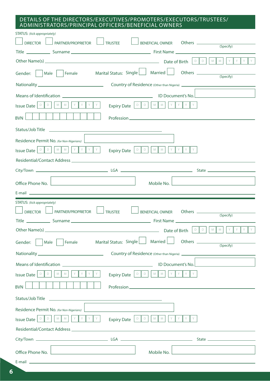#### DETAILS OF THE DIRECTORS/EXECUTIVES/PROMOTERS/EXECUTORS/TRUSTEES/ ADMINISTRATORS/PRINCIPAL OFFICERS/BENEFICIAL OWNERS

| STATUS: (tick appropriately)                                                                                                                                                                                  |                    |
|---------------------------------------------------------------------------------------------------------------------------------------------------------------------------------------------------------------|--------------------|
| PARTNER/PROPRIETOR<br>Others (Specify)<br><b>DIRECTOR</b><br><b>TRUSTEE</b><br><b>BENEFICIAL OWNER</b>                                                                                                        |                    |
|                                                                                                                                                                                                               |                    |
|                                                                                                                                                                                                               | $Y$ $Y$ $Y$        |
|                                                                                                                                                                                                               | (Specify)          |
|                                                                                                                                                                                                               |                    |
|                                                                                                                                                                                                               |                    |
| $Y$ $Y$ $Y$ $Y$<br>Issue Date $\boxed{\circ \parallel \circ \parallel \circ \parallel \wedge \parallel \wedge \parallel}$                                                                                     |                    |
| <b>BVN</b>                                                                                                                                                                                                    |                    |
|                                                                                                                                                                                                               |                    |
| Residence Permit No. (for Non-Nigerians)<br><u> 1980 - Jan Sterling Sterling, amerikansk politiker (</u>                                                                                                      |                    |
| D D   M   M   Y   Y   Y   Y<br>Expiry Date $\boxed{\circ}$ $\boxed{\circ}$ $\boxed{\circ}$ $\boxed{\wedge}$ $\boxed{\wedge}$ $\boxed{\vee}$ $\boxed{\vee}$ $\boxed{\vee}$ $\boxed{\vee}$<br><b>Issue Date</b> |                    |
|                                                                                                                                                                                                               |                    |
|                                                                                                                                                                                                               |                    |
| Office Phone No.<br>Mobile No.<br><u> 1980 - Andrea Andrew Maria (h. 1980).</u>                                                                                                                               |                    |
|                                                                                                                                                                                                               |                    |
|                                                                                                                                                                                                               |                    |
| STATUS: (tick appropriately)<br>PARTNER/PROPRIETOR<br><b>DIRECTOR</b><br><b>TRUSTEE</b><br><b>BENEFICIAL OWNER</b>                                                                                            |                    |
|                                                                                                                                                                                                               | (Specify)          |
| $D$ $D$                                                                                                                                                                                                       | $Y$ $Y$ $Y$<br>MMY |
| Married<br>Marital Status: Single<br>Female<br>Gender:<br>Male                                                                                                                                                | (Specify)          |
|                                                                                                                                                                                                               |                    |
| Means of Identification<br>ID Document's No.                                                                                                                                                                  |                    |
| Y<br>M<br>$Y \parallel$<br>Y<br>Y<br>M<br>D<br>D<br>M<br>D<br>M<br><b>Issue Date</b><br>D<br><b>Expiry Date</b>                                                                                               |                    |
| <b>BVN</b>                                                                                                                                                                                                    |                    |
| Status/Job Title                                                                                                                                                                                              |                    |
| Residence Permit No. (for Non-Nigerians)                                                                                                                                                                      |                    |
| Y<br>D<br>Y<br>Y<br>M<br>M<br>M<br>$D \parallel D$<br>D<br>M<br><b>Issue Date</b><br><b>Expiry Date</b>                                                                                                       |                    |
|                                                                                                                                                                                                               |                    |
|                                                                                                                                                                                                               |                    |
| Office Phone No.<br>Mobile No.                                                                                                                                                                                |                    |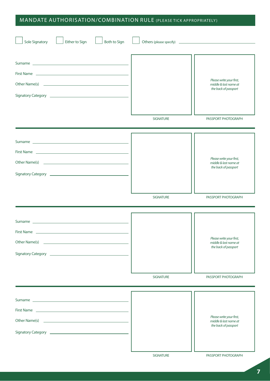## MANDATE AUTHORISATION/COMBINATION RULE (PLEASE TICK APPROPRIATELY )

| Sole Signatory<br>Either to Sign<br>Both to Sign                                                                                                                                                                                                                                                                                                                                                                                                                     |                  |                                                                           |
|----------------------------------------------------------------------------------------------------------------------------------------------------------------------------------------------------------------------------------------------------------------------------------------------------------------------------------------------------------------------------------------------------------------------------------------------------------------------|------------------|---------------------------------------------------------------------------|
| First Name <u>experience</u> and the series of the series of the series of the series of the series of the series of the series of the series of the series of the series of the series of the series of the series of the series o<br>Signatory Category 2008 Contract Contract Contract Contract Contract Contract Contract Contract Contract Contract Contract Contract Contract Contract Contract Contract Contract Contract Contract Contract Contract Contract |                  | Please write your first,<br>middle & last name at<br>the back of passport |
|                                                                                                                                                                                                                                                                                                                                                                                                                                                                      | <b>SIGNATURE</b> | PASSPORT PHOTOGRAPH                                                       |
|                                                                                                                                                                                                                                                                                                                                                                                                                                                                      |                  | Please write your first,<br>middle & last name at<br>the back of passport |
|                                                                                                                                                                                                                                                                                                                                                                                                                                                                      | <b>SIGNATURE</b> | PASSPORT PHOTOGRAPH                                                       |
|                                                                                                                                                                                                                                                                                                                                                                                                                                                                      |                  | Please write your first,<br>middle & last name at<br>the back of passport |
|                                                                                                                                                                                                                                                                                                                                                                                                                                                                      | <b>SIGNATURE</b> | PASSPORT PHOTOGRAPH                                                       |
|                                                                                                                                                                                                                                                                                                                                                                                                                                                                      |                  | Please write your first,<br>middle & last name at<br>the back of passport |
|                                                                                                                                                                                                                                                                                                                                                                                                                                                                      | <b>SIGNATURE</b> | PASSPORT PHOTOGRAPH                                                       |

**7**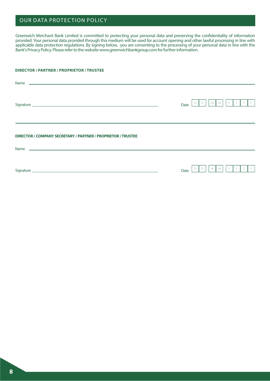## OUR DATA PROTECTION POLICY

Greenwich Merchant Bank Limited is committed to protecting your personal data and preserving the condentiality of information provided. Your personal data provided through this medium will be used for account opening and other lawful processing in line with applicable data protection regulations. By signing below, you are consenting to the processing of your personal data in line with the Bank's Privacy Policy. Please refer to the website www.greenwichbankgroup.com for further information.

#### **DIRECTOR / PARTNER / PROPRIETOR / TRUSTEE**

| Signature experience and the state of the state of the state of the state of the state of the state of the state of the state of the state of the state of the state of the state of the state of the state of the state of th | M<br>Date |
|--------------------------------------------------------------------------------------------------------------------------------------------------------------------------------------------------------------------------------|-----------|
| DIRECTOR / COMPANY SECRETARY / PARTNER / PROPRIETOR / TRUSTEE                                                                                                                                                                  |           |
|                                                                                                                                                                                                                                | Date      |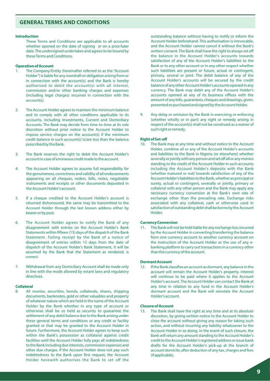#### **GENERAL TERMS AND CONDITIONS**

#### **Introduction**

These Terms and Conditions are applicable to all accounts whether opened on the date of signing or on a prior/later date. The undersigned undertakes and agrees to be bound by these Terms and Conditions.

#### **Operation of Account**

- The Company/Entity (hereinafter referred to as the "Account Holder") is liable for any overdraft or obligation arising from or in connection with the account(s) and the Bank is hereby authorised to debit the account(s) with all interest, commission and/or other banking charges and expenses (including legal charges) incurred in connection with the account(s).
- 2. The Account Holder agrees to maintain the minimum balance and to comply with all other conditions applicable to its accounts, including Investments, Current and Domiciliary Accounts. The Bank may decide from time-to-time at its sole discretion without prior notice to the Account Holder to impose service charges on the account(s) if the minimum credit balance in such account(s) is/are less than the balance prescribed by the Bank.
- 3. The Bank reserves the right to debit the Account Holder's account in case of erroneous credit made to the account.
- 4. The Account Holder agrees to assume full responsibility for the genuineness, correctness and validity of all endorsements appearing on all cheques, orders, bills, notes, negotiable instruments and receipts or other documents deposited in the Account Holder's account.
- 5. If a cheque credited to the Account Holder's account is returned dishonoured, the same may be transmitted to the Account Holder through the last known address either by bearer or by post.
- 6. The Account Holder agrees to notify the Bank of any disagreement with entries on the Account Holder's Bank Statements within fifteen (15) days of the dispatch of the Bank Statement. Failing receipt by the Bank of a notice of disagreement of entries within 15 days from the date of dispatch of the Account Holder's Bank Statement, it will be assumed by the Bank that the Statement as rendered, is correct.
- 7. Withdrawal from any Domiciliary Account shall be made only in line with the mode allowed by extant laws and regulatory directives.

#### **Collateral**

8. All monies, securities, bonds, collaterals, shares, shipping documents, banknotes, gold or other valuables and property of whatever nature which are held in the name of the Account Holder by the Bank whether in any type of account or otherwise shall be so held as security to guarantee the settlement of any debit balance due to the Bank arising under these general terms and conditions or any credit or facility granted or that may be granted to the Account Holder in future. Furthermore, the Account Holder agrees to keep such within the Bank's possession as collateral against credit facilities until the Account Holder fully pays all indebtedness to the Bank including due interests, commission expenses and other due charges. If the Account Holder does not pay such indebtedness to the Bank upon first request, the Account Holder herewith authorises the Bank to set off the

outstanding balance without having to notify or inform the Account Holder beforehand. This authorisation is irrevocable, and the Account Holder cannot cancel it without the Bank's written consent. The Bank shall have the right to always set off the balance in the Account Holder's accounts towards satisfaction of any of the Account Holder's liabilities to the Bank or to any other account or in any other respect whether such liabilities are present or future, actual or contingent, primary, several or joint. The debit balance of any of the Account Holder's accounts will be secured by the credit balance of any other Account Holder's accounts opened in any currency. The Bank may debit any of the Account Holder's accounts opened at any of its business offices with the amount of any bills, guarantees, cheques and drawings, given, presented or purchased and signed by the Account Holder.

9. Any delay or omission by the Bank in exercising or enforcing (whether wholly or in part) any right or remedy arising in respect of the account(s) shall not be construed as a waiver of such right or remedy.

#### **Right of Set-off**

10. The Bank may at any time and without notice to the Account Holder, combine all or any of the Account Holder's accounts and liabilities to the Bank in Nigeria (or elsewhere) whether severally or jointly with any person and set off all or any monies standing to the credit of the Account Holder in such accounts including the Account Holder's deposits with the Bank (whether matured or not) towards satisfaction of any of the Account Holder's liabilities to the Bank, whether as principal or surety, actual or contingent, severally or jointly, primary or collateral with any other person and the Bank may apply any necessary currency conversion at the Bank's own rate of exchange other than the prevailing rate. Exchange risks associated with any collateral, cash or otherwise used in satisfaction of outstanding debt shall be borne by the Account Holder.

#### **Currency Conversion**

11. The Bank will not be held liable for any exchange loss incurred by the Account Holder in converting/transferring the balance from one currency account to another currency account on the instruction of the Account Holder or the use of any ebanking platform to carry out transactions in a currency other than the currency of the account.

#### **Dormant Account**

12. If the Bank classifies an account as dormant, any balance in the account will remain the Account Holder's property. Interest will continue to be paid where it applies to the Account Holder's account. The Account Holder can contact the Bank at any time in relation to any fund in the Account Holder's dormant account and the Bank will reinstate the Account Holder's account.

#### **Closure of Account**

13. The Bank shall have the right at any time and at its absolute discretion, by giving written notice to the Account Holder to close the account without giving any reason for taking such action, and without incurring any liability whatsoever to the Account Holder in so doing. In the event of such closure, the Bank will return any amount standing to the Account Holder's credit to the Account Holder's registered address or issue bank drafts for the Account Holder's pick-up at the branch of account domicile, after deduction of any tax, charges and fees (if applicable).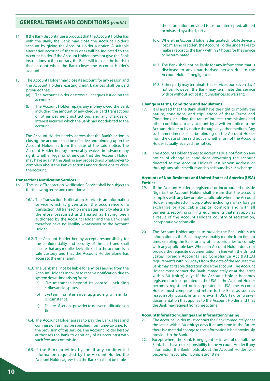- 14. If the Bank discontinues a product that the Account Holder has with the Bank, the Bank may close the Account Holder's account by giving the Account Holder a notice. A suitable alternative account (if there is one) will be indicated to the Account Holder. If the Account Holder does not give the Bank instructions to the contrary, the Bank will transfer the funds to that account when the Bank closes the Account Holder's account.
- 15. The Account Holder may close its account for any reason and the Account Holder's existing credit balances shall be paid provided that:
	- (a) The Account Holder destroys all cheques issued on the account;
	- (b) The Account Holder repays any money owed the Bank including the amount of any cheque, card transactions or other payment instructions and any charges or interest incurred which the Bank had not debited to the account.

The Account Holder hereby agrees that the Bank's action in closing the account shall be effective and binding upon the Account Holder as from the date of the said notice. The Account Holder hereby irrevocably waives in advance any right, whether legal or otherwise, that the Account Holder may have against the Bank in any proceedings whatsoever to complain about the Bank's actions and/or decisions to close the account.

#### **Transactions Notification Services**

- 16. The use of Transaction Notification Service shall be subject to the following terms and conditions:
	- 16.1. The Transaction Notification Service is an information service which is given after the occurrence of a transaction. All transaction messages sent by alerts are therefore presumed and treated as having been authorised by the Account Holder and the Bank shall therefore have no liability whatsoever to the Account Holder.
	- 16.2. The Account Holder hereby accepts responsibility for the confidentiality and security of the alert and shall ensure that any mobile device linked to the account is in safe custody and that the Account Holder alone has access to the email alert.
	- 16.3. The Bank shall not be liable for any loss arising from the Account Holder's inability to receive notification due to system downtime arising from:
		- (a) Circumstances beyond its control, including strikes and disputes;
		- (b) System maintenance upgrading or similar circumstance;
		- (c) Failure of service provider to deliver notification on time.
	- 16.4. The Account Holder agrees to pay the Bank's fees and commission as may be specified from time-to-time, for the provision of this service. The Account Holder hereby authorises the Bank to debit any of its account(s) with such fees and commission.
	- 16.5. If the Bank provides by email any confidential information requested by the Account Holder, the Account Holder agrees that the Bank shall not be liable if

the information provided is lost or intercepted, altered or misused by a third party.

- 16.6. Where the Account Holder's designated mobile device is lost, missing or stolen, the Account Holder undertakes to make a report to the Bank within 24 hours for the service to be terminated.
- 16.7. The Bank shall not be liable for any information that is disclosed to any unauthorised person due to the Account Holder's negligence.
- 16.8. Either party may terminate this service upon seven days' notice. However, the Bank may terminate this service with or without notice if circumstances so warrant.

#### **Change in Terms, Conditions and Regulations**

- 17. It is agreed that the Bank shall have the right to modify the nature, conditions, and stipulations of these Terms and Conditions including the rate of interest, commissions and other conditions to any account by a written notice to the Account Holder or by notice through any other medium. Any such amendments shall be binding on the Account Holder from the date of the said notice whether or not the Account Holder actually received the notice.
- 18. The Account Holder agrees to accept as due notification any notice of change in conditions governing the account directed to the Account Holder's last known address or through any other medium and to be bound by such change.

#### **Accounts of Non-Residents and United States of America (USA) Entities**

- 19. If the Account Holder is registered or incorporated outside Nigeria, the Account Holder shall ensure that the account complies with any law or rules applicable where the Account Holder is registered or incorporated, including any tax, foreign exchange or applicable capital controls and with all payments, reporting or filing requirements that may apply as a result of the Account Holder's country of registration, incorporation or domicile.
- 20. The Account Holder agrees to provide the Bank with such information as the Bank may reasonably require from time to time, enabling the Bank or any of its subsidiaries to comply with any applicable law. Where an Account Holder does not provide the requisite documentation in line with the United States Foreign Accounts Tax Compliance Act (FATCA) requirements within 90 days from the date of the request, the Bank may at its sole discretion close the account. The Account Holder must contact the Bank immediately or at the latest within 30 (thirty) days if the Account Holder becomes registered or incorporated in the USA. If the Account Holder becomes registered or incorporated in USA, the Account Holder must complete and return to the Bank as soon as reasonably possible any relevant USA tax or waiver documentation that applies to the Account Holder and that the Bank may request from time to time.

#### **Account Information Changes and Information Sharing**

- 21. The Account Holder must contact the Bank immediately or at the latest within 30 (thirty) days if at any time in the future there is a material change to the information it had previously provided to the Bank.
- 22. Except where the Bank is negligent or in willful default, the Bank shall have no responsibility to the Account Holder if any information the Bank holds about the Account Holder is/or becomes inaccurate, incomplete or stale.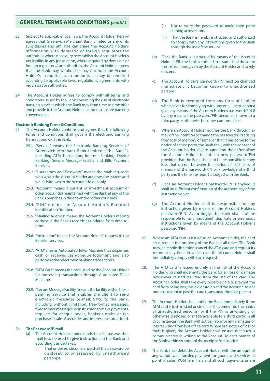- 23. Subject to applicable local laws, the Account Holder hereby agrees that Greenwich Merchant Bank Limited or any of its subsidiaries and affiliates can share the Account Holder's information with domestic or foreign regulators/tax authorities where necessary to establish the Account Holder's tax liability in any jurisdiction, where required by domestic or foreign regulators/tax authorities, the Account Holder agrees that the Bank may withhold or pay out from the Account Holder's account(s) such amounts as may be required according to applicable laws, regulations, agreements with regulators or authorities.
- 24. The Account Holder agrees to comply with all terms and conditions issued by the Bank governing the use of electronic banking services which the Bank may from time to time offer and provide to the Account Holder in order to ensure banking convenience.

#### **Electronic Banking Terms & Conditions**

- 25. The Account Holder confirms and agrees that the following terms and conditions shall govern the electronic banking transactions with the Bank.
	- 25.1. "Service" means the Electronic Banking Services of Greenwich Merchant Bank Limited ("the Bank"), including ATM Transaction, Internet Banking, Device Banking, Secure Message Facility and Bills Payment Services.
	- 25.2. "Usernames and Password" means the enabling code with which the Account Holder accesses the system and which is known to the Account Holder only.
	- 25.3. "Account" means a current or investment account or other account(s) maintained with the Bank at any of the Bank's branches in Nigeria and/or other countries.
	- 25.4. "PIN" means the Account Holder's Personal Identification Number.
	- 25.5. "Mailing Address" means the Account Holder's mailing address in the Bank's records as updated from time-totime.
	- 25.6. "Instruction"means the Account Holder's request to the Bank for services.
	- 25.7. ''ATM" means Automated Teller Machine that dispenses cash or receives cash/cheque lodgment and also performs other electronic banking transactions.
	- 25.8. "ATM Card" means the card used by the Account Holder for processing transactions through Automated Teller Machine.
	- 25.9. "Secure Message Facility"means the facility within the e-Banking Service that enables the client to send electronic messages (e-mail, SMS) to the Bank, including without limitation, free-format messages, xed format messages, or instruction to make payments, requests for cheque books, banker's drafts or the purchase or sale of securities and interest in mutual fund.

#### 26. **The Password/E-mail**

- (a) The Account Holder understands that its password/email is to be used to give instructions to the Bank and accordingly undertakes:
	- That under no circumstance shall the password be disclosed to or assessed by unauthorised person(s).
- (ii) Not to write the password to avoid third party coming across same.
- (iii) That the Bank is hereby instructed and authorized to comply with any instructions given to the Bank through the use of the service.
- (b) Once the Bank is instructed by means of the Account Holder's PIN the Bank is entitled to assume that those are the instructions given by the Account Holder and to rely on same.
- (c) The Account Holder's password/PIN must be changed immediately it becomes known to unauthorised persons;
- (d) The Bank is exempted from any form of liability whatsoever for complying with any or all instruction(s) given by means of the Account Holder's password/PIN if by any means: the password/PlN becomes known to a third party or otherwise becomes compromised;
- (e) Where an Account Holder notifies the Bank through email of the intention to change the password/PIN arising from loss of memory of same, or that it has come to the notice of a third party, the Bank shall, with the consent of the Account Holder, delete same and thereafter allow the Account Holder to enter a new password/PIN provided that the Bank shall not be responsible for any loss that occurs between the period of such loss of memory of the password/PlN or knowledge of a third party and the time the report is lodged with the Bank.
- (f) Once an Account Holder's password/PIN is applied, it shall be sufficient confirmation of the authenticity of the instruction given.
- (g) The Account Holder shall be responsible for any instruction given by means of the Account Holder's password/PIN. Accordingly, the Bank shall not be responsible for any fraudulent, duplicate or erroneous instructions given by means of the Account Holder's password/PIN.
- 27. Where an ATM card is issued to an Account Holder, the card shall remain the property of the Bank at all times. The Bank may, at its sole discretion, cancel the ATM card and request its return at any time, in which case the Account Holder shall immediately comply with such request.
- 28. The ATM card is issued entirely at the risk of the Account Holder who shall indemnify the Bank for all loss or damage howsoever caused resulting from the use of the card. The Account Holder shall take every possible care to prevent the card from being lost, mislaid or stolen and the Account Holder undertakes not to pass the card to any unauthorised person.
- 29. The Account Holder shall notify the Bank immediately if the ATM card is lost, mislaid or stolen or if it comes into the hands of unauthorised person(s) or if the PIN is unwittingly or otherwise disclosed or made available to a third party. In all circumstances, the Bank will not be liable for any damages or loss resulting from loss of the card. Where oral notice of loss or theft is given, the Account Holder shall ensure that such is communicated in writing to the Account Holder's branch of the Bank within 48 hours of the receipt of oral notice.
- 30. The Bank shall debit the Account Holder with the amount of any withdrawal, transfer, payment for goods and services at point of sales (POS) terminals and all such payments as are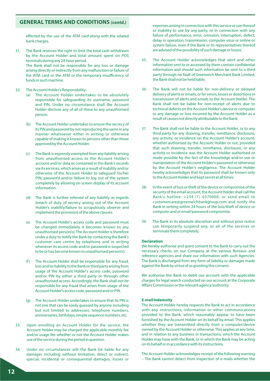effected by the use of the ATM card along with the related bank charges.

- 31. The Bank reserves the right to limit the total cash withdrawn by the Account Holder and total amount spent on POS terminals during any 24-hour period. The Bank shall not be responsible for any loss or damage arising directly or indirectly from any malfunction or failure of the ATM card or the ATM or the temporary insufficiency of funds in such machine.
- 32. The Account Holder's Responsibility:
	- (a) The Account Holder undertakes to be absolutely responsible for safeguarding its username, password and PIN. Under no circumstance shall the Account Holder disclose any of all of these to any unauthorised person.
	- (b) The Account Holder undertakes to ensure the secrecy of its PIN and password by not reproducing the same in any manner whatsoever either in writing or otherwise capable of making it known to persons other than those approved by the Account Holder.
	- (c) The Bank is expressly exempted from any liability arising from unauthorised access to the Account Holder's account and/or data as contained in the Bank's records via its services, which arises as a result of inability and/or otherwise of the Account Holder to safeguard his/her PIN, password and/or failure to log out of the system completely by allowing on screen display of its account information.
	- (d) The Bank is further relieved of any liability as regards breach of duty of secrecy arising out of the Account Holder's inability/failure to scrupulously observe and implement the provisions of the above clauses.
	- The Account Holder's access code and password must be changed immediately it becomes known to any unauthorised person(s). The Account Holder is therefore under a duty to notify the Bank by contacting the Bank's customer care centre by telephone and in writing whenever its access code and/or password is suspected to be or has become known to unauthorised person(s).
	- (f) The Account Holder shall be responsible for any fraud, loss and/or liability to the Bank or third party arising from usage of the Account Holder's access code, password and/or PIN by either a third party or through other unauthorised access. Accordingly, the Bank shall not be responsible for any fraud that arises from usage of the Account Holder's access code, password and/or PIN.
	- (g) The Account Holder undertakes to ensure that its PIN is not one that can be easily guessed by anyone including but not limited to addresses, telephone numbers, anniversaries, birthdays, simple sequence numbers, etc.
- 33. Upon enrolling an Account Holder for the service, the Account Holder may be charged the applicable monthly fee and/or usage fee whether or not the Account Holder makes use of the service during the period in question.
- 34. Under no circumstances will the Bank be liable for any damages including without limitation, direct or indirect, special, incidental or consequential damages, losses or

expenses arising in connection with this service or use thereof or inability to use by any party, or in connection with any failure of performance, error, omission, interruption, defect, delay in operation, transmission, computer virus or online or system failure, even if the Bank or its representatives thereof are advised of the possibility of such damage or losses.

- 35. The Account Holder acknowledges that alert and other information sent to or accessed by them contain confidential information and should such information be sent to a third party through no fault of Greenwich Merchant Bank Limited, the Bank shall not be held liable.
- 36. The Bank will not be liable for non-delivery or delayed delivery of alerts or emails, or for errors, losses or distortions in transmission of alerts and emails to the Account Holder. The Bank shall not be liable for non-receipt of alerts due to technical defects on the Account Holder's device or computer or any damage or loss incurred by the Account Holder as a result of causes not directly attributable to the Bank.
- 37. The Bank shall not be liable to the Account Holder, or to any third party for any drawing, transfer, remittance, disclosure, any activity, or incidence on the Account Holder's account, whether authorised by the Account Holder or not, provided that such drawing, transfer, remittance, disclosure, or any activity or incidence was the Account Holder authorised or made possible by the fact of the knowledge and/or use or manipulation of the Account Holder's password or otherwise by the Account Holder's negligence. The Account Holder hereby acknowledges that its password shall be known only to the Account Holder and kept secret at all times.
- 38. In the event of loss or theft of the device or compromise of the security of the email account, the Account Holder shall call the Bank's hotline: +234 (1) 6370000, or send email to customercare@greenwichbankgroup.com and notify the Bank in writing within 24 hours of the loss/theft of device or computer and or email/password compromise.
- 39. The Bank in its absolute discretion and without prior notice can temporarily suspend any, or all of the services or terminate them completely.

#### **Declaration**

We hereby authorise and grant consent to the Bank to carry out the necessary checks on our Company at the various Bureaus and reference agencies and share our information with such Agencies. The Bank is discharged from any form of liability or damages made against the Bank by virtue of us granting this consent.

We authorise the Bank to debit our account with the applicable charges for legal search conducted on our account at the Corporate Affairs Commission or the relevant agency/authority.

#### **E-mail Indemnity**

The Account Holder hereby requests the Bank to act in accordance with any instructions, information or other communications provided to the Bank, which reasonably appear to have been furnished by the Account Holder on its behalf by email. This applies whether they are transmitted directly from a computer/device owned by the Account Holder or otherwise. This applies at any time, and in relation to any business or transactions, which the Account Holder may have with the Bank, or in which the Bank may be acting on its behalf or in accordance with its instructions.

The Account Holder acknowledges receipt of the following warning – The Bank cannot detect from inspection of e-mails whether the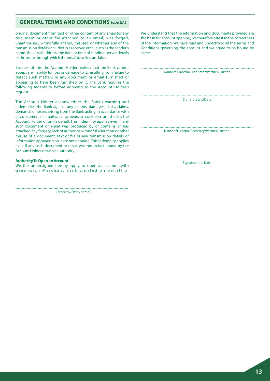original document from text or other content of any email (or any document or other file attached to an email) was forged, unauthorised, wrongfully altered, misused or whether any of the transmission details included in a received email such as the sender's name, the email address, the date or time of sending, server details or the route through which the email travelled are false.

Because of this, the Account Holder realises that the Bank cannot accept any liability for loss or damage to it, resulting from failure to detect such matters in any document or email furnished or appearing to have been furnished by it. The Bank requires the following indemnity before agreeing to the Account Holder's request.

The Account Holder acknowledges the Bank's warning and indemnifies the Bank against any actions, damages, costs, claims, demands or losses arising from the Bank acting in accordance with any document or email which appears to have been furnished by the Account Holder or on its behalf. This indemnity applies even if any such document or email was produced by or contains or has attached any forgery, lack of authority, wrongful alteration or other misuse of a document, text or file or any transmission details or information appearing on it are not genuine. This indemnity applies even if any such document or email was not in fact issued by the Account Holder or with its authority.

#### **Authority To Open an Account**

We the undersigned hereby apply to open an account with Greenwich Merchant Bank Limited on behalf of

..................................................................................................................................... Company/Entity name).

We understand that the information and documents provided are the basis for account opening, we therefore attest to the correctness of the information. We have read and understood all the Terms and Conditions governing the account and we agree to be bound by same.

. ..................................................................................................................................... Name of Director/Proprietor/Partner/Trustee

..................................................................................................................................... Signature and Date

..................................................................................................................................... Name of Director/Secretary/Partner/Trustee

..................................................................................................................................... Signature and Date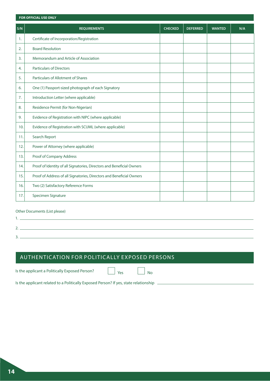|                | <b>FOR OFFICIAL USE ONLY</b>                                          |                |                 |               |     |
|----------------|-----------------------------------------------------------------------|----------------|-----------------|---------------|-----|
| S/N            | <b>REQUIREMENTS</b>                                                   | <b>CHECKED</b> | <b>DEFERRED</b> | <b>WANTED</b> | N/A |
| $\mathbf{1}$ . | Certificate of Incorporation/Registration                             |                |                 |               |     |
| 2.             | <b>Board Resolution</b>                                               |                |                 |               |     |
| 3.             | Memorandum and Article of Association                                 |                |                 |               |     |
| 4.             | <b>Particulars of Directors</b>                                       |                |                 |               |     |
| 5.             | <b>Particulars of Allotment of Shares</b>                             |                |                 |               |     |
| 6.             | One (1) Passport-sized photograph of each Signatory                   |                |                 |               |     |
| 7.             | Introduction Letter (where applicable)                                |                |                 |               |     |
| 8.             | Residence Permit (for Non-Nigerian)                                   |                |                 |               |     |
| 9.             | Evidence of Registration with NIPC (where applicable)                 |                |                 |               |     |
| 10.            | Evidence of Registration with SCUML (where applicable)                |                |                 |               |     |
| 11.            | Search Report                                                         |                |                 |               |     |
| 12.            | Power of Attorney (where applicable)                                  |                |                 |               |     |
| 13.            | Proof of Company Address                                              |                |                 |               |     |
| 14.            | Proof of Identity of all Signatories, Directors and Beneficial Owners |                |                 |               |     |
| 15.            | Proof of Address of all Signatories, Directors and Beneficial Owners  |                |                 |               |     |
| 16.            | Two (2) Satisfactory Reference Forms                                  |                |                 |               |     |
| 17.            | Specimen Signature                                                    |                |                 |               |     |

#### Other Documents (List please)

1.  $2. -$ 

3.

AUTHENTICATION FOR POLITICALLY EXPOSED PERSONS

Is the applicant a Politically Exposed Person?

 $Yes$   $\Box$  No

Is the applicant related to a Politically Exposed Person? If yes, state relationship